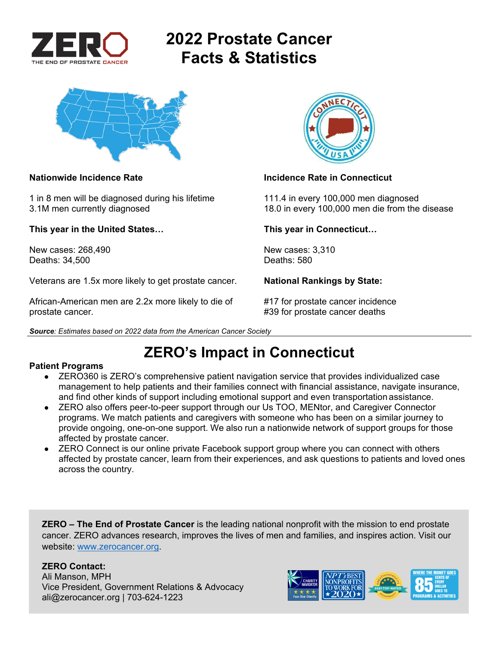

# **2022 Prostate Cancer Facts & Statistics**



### **Nationwide Incidence Rate Incidence Rate in Connecticut**

1 in 8 men will be diagnosed during his lifetime 111.4 in every 100,000 men diagnosed 3.1M men currently diagnosed 18.0 in every 100,000 men die from the disease

**This year in the United States… This year in Connecticut…** 

New cases: 268,490 New cases: 3,310<br>Deaths: 34.500 Deaths: 580 Deaths: 34,500

Veterans are 1.5x more likely to get prostate cancer. **National Rankings by State:** 

African-American men are 2.2x more likely to die of #17 for prostate cancer incidence prostate cancer. **All any struck is a set of the set of the set of the set of the set of the set of the set of the set of the set of the set of the set of the set of the set of the set of the set of the set of the set of t** 



*Source: Estimates based on 2022 data from the American Cancer Society* 

## **ZERO's Impact in Connecticut**

### **Patient Programs**

- ZERO360 is ZERO's comprehensive patient navigation service that provides individualized case management to help patients and their families connect with financial assistance, navigate insurance, and find other kinds of support including emotional support and even transportation assistance.
- ZERO also offers peer-to-peer support through our Us TOO, MENtor, and Caregiver Connector programs. We match patients and caregivers with someone who has been on a similar journey to provide ongoing, one-on-one support. We also run a nationwide network of support groups for those affected by prostate cancer.
- ZERO Connect is our online private Facebook support group where you can connect with others affected by prostate cancer, learn from their experiences, and ask questions to patients and loved ones across the country.

**ZERO – The End of Prostate Cancer** is the leading national nonprofit with the mission to end prostate cancer. ZERO advances research, improves the lives of men and families, and inspires action. Visit our website: www.zerocancer.org.

### **ZERO Contact:**

Ali Manson, MPH Vice President, Government Relations & Advocacy ali@zerocancer.org | 703-624-1223